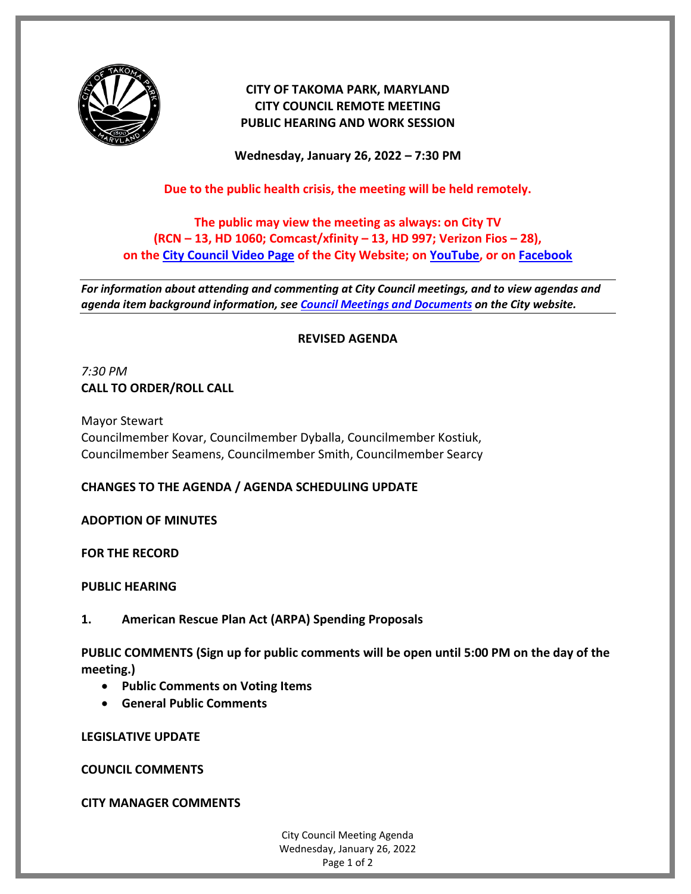

# **CITY OF TAKOMA PARK, MARYLAND CITY COUNCIL REMOTE MEETING PUBLIC HEARING AND WORK SESSION**

**Wednesday, January 26, 2022 – 7:30 PM**

## **Due to the public health crisis, the meeting will be held remotely.**

# **The public may view the meeting as always: on City TV (RCN – 13, HD 1060; Comcast/xfinity – 13, HD 997; Verizon Fios – 28), on the [City Council Video Page](https://takomaparkmd.gov/government/city-council/meetings-and-documents/city-council-video/) of the City Website; on [YouTube,](https://www.youtube.com/user/TakomaParkTV) or o[n Facebook](https://www.facebook.com/TakomaParkTV)**

*For information about attending and commenting at City Council meetings, and to view agendas and agenda item background information, see [Council Meetings and Documents](https://takomaparkmd.gov/government/city-council/meetings-and-documents/) on the City website.*

### **REVISED AGENDA**

# *7:30 PM* **CALL TO ORDER/ROLL CALL**

Mayor Stewart Councilmember Kovar, Councilmember Dyballa, Councilmember Kostiuk, Councilmember Seamens, Councilmember Smith, Councilmember Searcy

### **CHANGES TO THE AGENDA / AGENDA SCHEDULING UPDATE**

### **ADOPTION OF MINUTES**

**FOR THE RECORD**

**PUBLIC HEARING**

**1. American Rescue Plan Act (ARPA) Spending Proposals**

**PUBLIC COMMENTS (Sign up for public comments will be open until 5:00 PM on the day of the meeting.)**

- **Public Comments on Voting Items**
- **General Public Comments**

**LEGISLATIVE UPDATE**

**COUNCIL COMMENTS**

**CITY MANAGER COMMENTS**

City Council Meeting Agenda Wednesday, January 26, 2022 Page 1 of 2